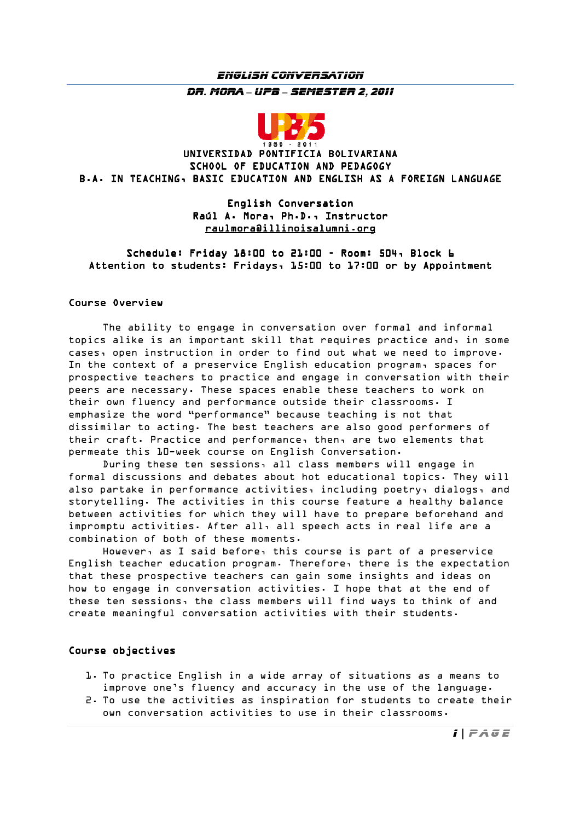# *English Conversation Dr. Mora* – *UPB* – *Semester 2, 2011*



## UNIVERSIDAD PONTIFICIA BOLIVARIANA SCHOOL OF EDUCATION AND PEDAGOGY B.A. IN TEACHING, BASIC EDUCATION AND ENGLISH AS A FOREIGN LANGUAGE

### English Conversation Raúl A. Mora, Ph.D., Instructor raulmora@illinoisalumni.org

Schedule: Friday 18:00 to 21:00 - Room: 504, Block 6 Attention to students: Fridays, 15:00 to 17:00 or by Appointment

#### Course Overview

 The ability to engage in conversation over formal and informal topics alike is an important skill that requires practice and, in some cases, open instruction in order to find out what we need to improve. In the context of a preservice English education program, spaces for prospective teachers to practice and engage in conversation with their peers are necessary. These spaces enable these teachers to work on their own fluency and performance outside their classrooms. I emphasize the word "performance" because teaching is not that dissimilar to acting. The best teachers are also good performers of their craft. Practice and performance, then, are two elements that permeate this 10-week course on English Conversation.

 During these ten sessions, all class members will engage in formal discussions and debates about hot educational topics. They will also partake in performance activities, including poetry, dialogs, and storytelling. The activities in this course feature a healthy balance between activities for which they will have to prepare beforehand and impromptu activities. After all, all speech acts in real life are a combination of both of these moments.

 However, as I said before, this course is part of a preservice English teacher education program. Therefore, there is the expectation that these prospective teachers can gain some insights and ideas on how to engage in conversation activities. I hope that at the end of these ten sessions, the class members will find ways to think of and create meaningful conversation activities with their students.

### Course objectives Course objectives

- 1. To practice English in a wide array of situations as a means to improve one's fluency and accuracy in the use of the language.
- 2. To use the activities as inspiration for students to create their own conversation activities to use in their classrooms.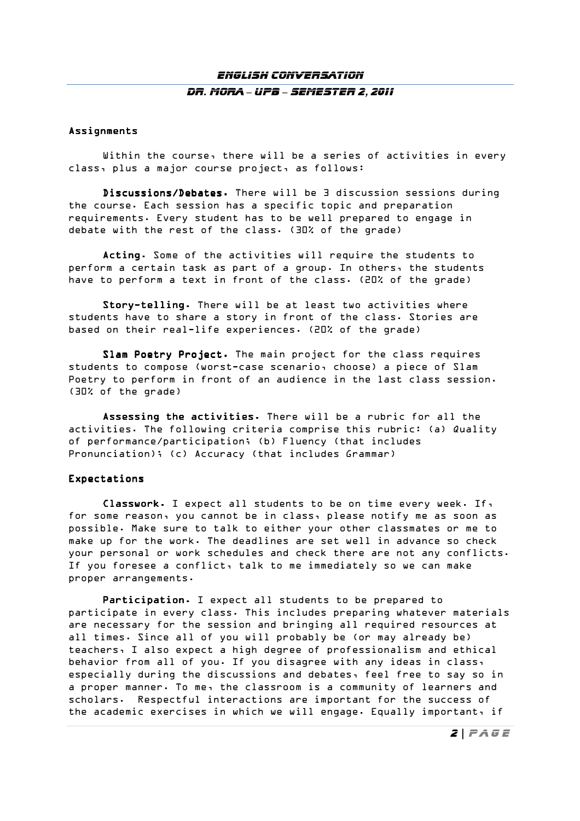## *English Conversation Dr. Mora* – *UPB* – *Semester 2, 2011*

#### Assignments

Within the course, there will be a series of activities in every class, plus a major course project, as follows:

Discussions/Debates. There will be 3 discussion sessions during the course. Each session has a specific topic and preparation requirements. Every student has to be well prepared to engage in debate with the rest of the class. (30% of the grade)

Acting. Some of the activities will require the students to perform a certain task as part of a group. In others, the students have to perform a text in front of the class. (20% of the grade)

Story-telling. There will be at least two activities where students have to share a story in front of the class. Stories are based on their real-life experiences. (20% of the grade)

Slam Poetry Project. The main project for the class requires students to compose (worst-case scenario, choose) a piece of Slam Poetry to perform in front of an audience in the last class session. (30% of the grade)

Assessing the activities. There will be a rubric for all the activities. The following criteria comprise this rubric: (a) Quality of performance/participation; (b) Fluency (that includes Pronunciation); (c) Accuracy (that includes Grammar)

#### Expectations Expectations

Classwork. I expect all students to be on time every week. If, for some reason, you cannot be in class, please notify me as soon as possible. Make sure to talk to either your other classmates or me to make up for the work. The deadlines are set well in advance so check your personal or work schedules and check there are not any conflicts. If you foresee a conflict, talk to me immediately so we can make proper arrangements.

Participation. I expect all students to be prepared to participate in every class. This includes preparing whatever materials are necessary for the session and bringing all required resources at all times. Since all of you will probably be (or may already be) teachers, I also expect a high degree of professionalism and ethical behavior from all of you. If you disagree with any ideas in class, especially during the discussions and debates, feel free to say so in a proper manner. To me, the classroom is a community of learners and scholars. Respectful interactions are important for the success of the academic exercises in which we will engage. Equally important, if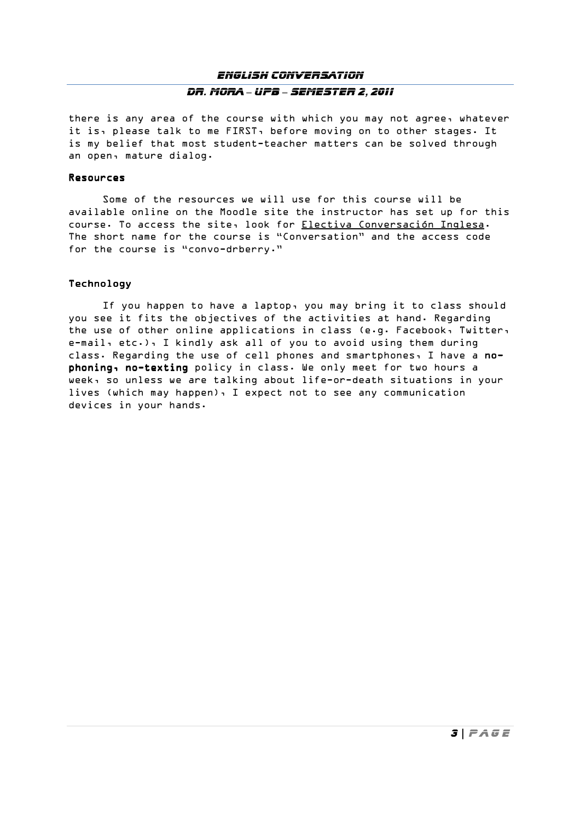# *English Conversation Dr. Mora* – *UPB* – *Semester 2, 2011*

there is any area of the course with which you may not agree, whatever it is, please talk to me FIRST, before moving on to other stages. It is my belief that most student-teacher matters can be solved through an open, mature dialog.

#### Resources

 Some of the resources we will use for this course will be available online on the Moodle site the instructor has set up for this course. To access the site, look for Electiva Conversación Inglesa. The short name for the course is "Conversation" and the access code for the course is "convo-drberry."

### **Technology**

If you happen to have a laptop, you may bring it to class should you see it fits the objectives of the activities at hand. Regarding the use of other online applications in class (e.g. Facebook, Twitter,  $e$ -mail,  $etc.)$ , I kindly ask all of you to avoid using them during class. Regarding the use of cell phones and smartphones, I have a nophoning, no-texting policy in class. We only meet for two hours a week, so unless we are talking about life-or-death situations in your lives (which may happen), I expect not to see any communication devices in your hands.